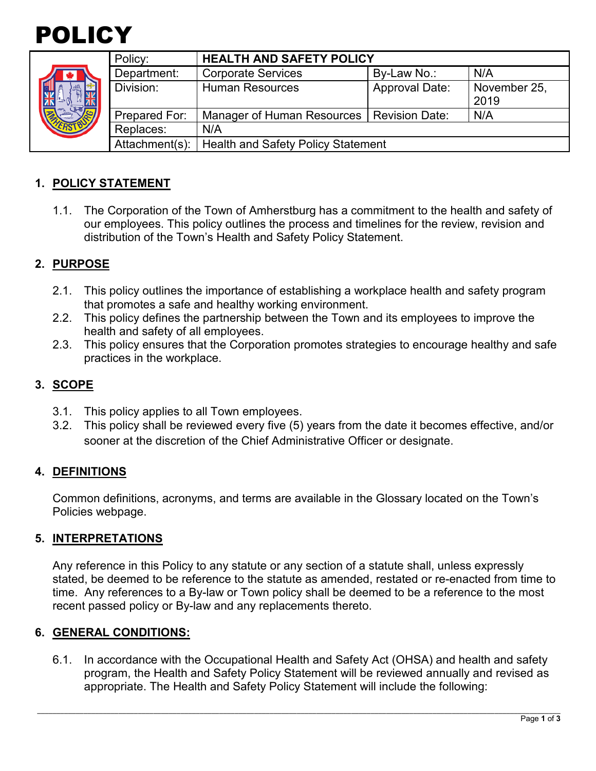

|  | Policy:        | <b>HEALTH AND SAFETY POLICY</b>           |                       |              |
|--|----------------|-------------------------------------------|-----------------------|--------------|
|  | Department:    | <b>Corporate Services</b>                 | By-Law No.:           | N/A          |
|  | Division:      | <b>Human Resources</b>                    | <b>Approval Date:</b> | November 25, |
|  |                |                                           |                       | 2019         |
|  | Prepared For:  | Manager of Human Resources                | <b>Revision Date:</b> | N/A          |
|  | Replaces:      | N/A                                       |                       |              |
|  | Attachment(s): | <b>Health and Safety Policy Statement</b> |                       |              |

# **1. POLICY STATEMENT**

1.1. The Corporation of the Town of Amherstburg has a commitment to the health and safety of our employees. This policy outlines the process and timelines for the review, revision and distribution of the Town's Health and Safety Policy Statement.

### **2. PURPOSE**

- 2.1. This policy outlines the importance of establishing a workplace health and safety program that promotes a safe and healthy working environment.
- 2.2. This policy defines the partnership between the Town and its employees to improve the health and safety of all employees.
- 2.3. This policy ensures that the Corporation promotes strategies to encourage healthy and safe practices in the workplace.

## **3. SCOPE**

- 3.1. This policy applies to all Town employees.
- 3.2. This policy shall be reviewed every five (5) years from the date it becomes effective, and/or sooner at the discretion of the Chief Administrative Officer or designate.

#### **4. DEFINITIONS**

Common definitions, acronyms, and terms are available in the Glossary located on the Town's Policies webpage.

#### **5. INTERPRETATIONS**

Any reference in this Policy to any statute or any section of a statute shall, unless expressly stated, be deemed to be reference to the statute as amended, restated or re-enacted from time to time. Any references to a By-law or Town policy shall be deemed to be a reference to the most recent passed policy or By-law and any replacements thereto.

#### **6. GENERAL CONDITIONS:**

6.1. In accordance with the Occupational Health and Safety Act (OHSA) and health and safety program, the Health and Safety Policy Statement will be reviewed annually and revised as appropriate. The Health and Safety Policy Statement will include the following: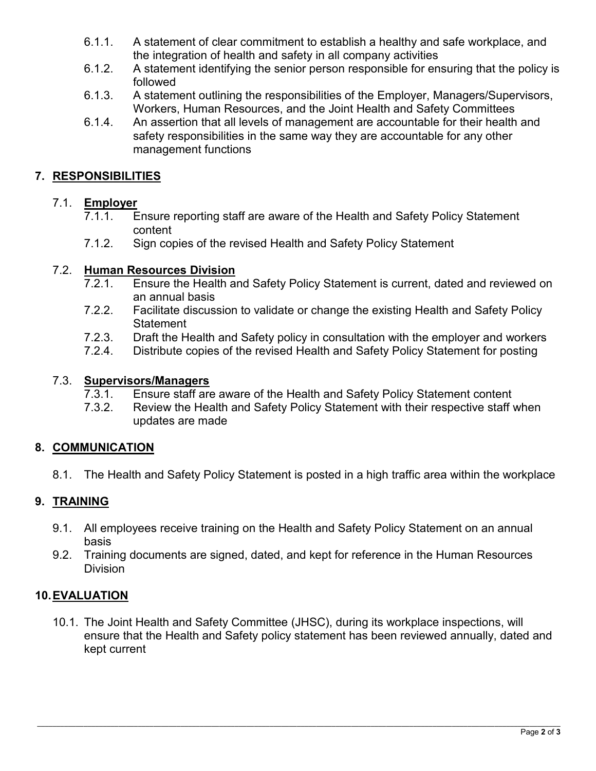- 6.1.1. A statement of clear commitment to establish a healthy and safe workplace, and the integration of health and safety in all company activities
- 6.1.2. A statement identifying the senior person responsible for ensuring that the policy is followed
- 6.1.3. A statement outlining the responsibilities of the Employer, Managers/Supervisors, Workers, Human Resources, and the Joint Health and Safety Committees
- 6.1.4. An assertion that all levels of management are accountable for their health and safety responsibilities in the same way they are accountable for any other management functions

# **7. RESPONSIBILITIES**

### 7.1. **Employer**

- 7.1.1. Ensure reporting staff are aware of the Health and Safety Policy Statement content
- 7.1.2. Sign copies of the revised Health and Safety Policy Statement

### 7.2. **Human Resources Division**

- 7.2.1. Ensure the Health and Safety Policy Statement is current, dated and reviewed on an annual basis
- 7.2.2. Facilitate discussion to validate or change the existing Health and Safety Policy **Statement**
- 7.2.3. Draft the Health and Safety policy in consultation with the employer and workers
- 7.2.4. Distribute copies of the revised Health and Safety Policy Statement for posting

#### 7.3. **Supervisors/Managers**

- 7.3.1. Ensure staff are aware of the Health and Safety Policy Statement content
- 7.3.2. Review the Health and Safety Policy Statement with their respective staff when updates are made

#### **8. COMMUNICATION**

8.1. The Health and Safety Policy Statement is posted in a high traffic area within the workplace

# **9. TRAINING**

- 9.1. All employees receive training on the Health and Safety Policy Statement on an annual basis
- 9.2. Training documents are signed, dated, and kept for reference in the Human Resources Division

#### **10.EVALUATION**

10.1. The Joint Health and Safety Committee (JHSC), during its workplace inspections, will ensure that the Health and Safety policy statement has been reviewed annually, dated and kept current